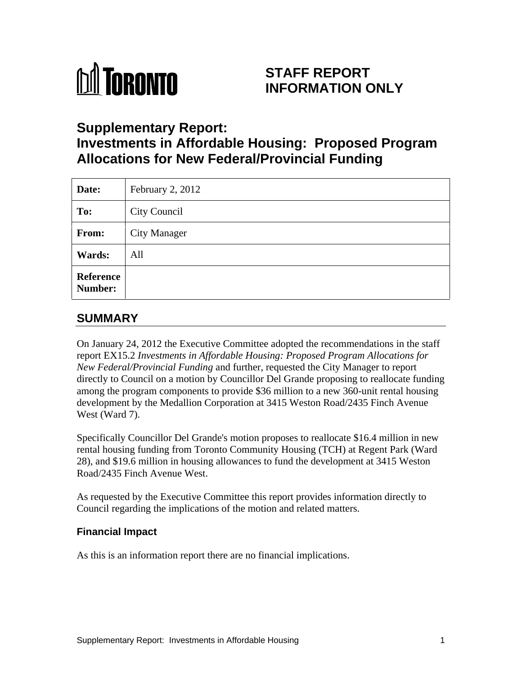

# **STAFF REPORT INFORMATION ONLY**

## **Supplementary Report:**

# **Investments in Affordable Housing: Proposed Program Allocations for New Federal/Provincial Funding**

| Date:                | February 2, 2012 |
|----------------------|------------------|
| To:                  | City Council     |
| From:                | City Manager     |
| <b>Wards:</b>        | All              |
| Reference<br>Number: |                  |

## **SUMMARY**

On January 24, 2012 the Executive Committee adopted the recommendations in the staff report EX15.2 *Investments in Affordable Housing: Proposed Program Allocations for New Federal/Provincial Funding* and further, requested the City Manager to report directly to Council on a motion by Councillor Del Grande proposing to reallocate funding among the program components to provide \$36 million to a new 360-unit rental housing development by the Medallion Corporation at 3415 Weston Road/2435 Finch Avenue West (Ward 7).

Specifically Councillor Del Grande's motion proposes to reallocate \$16.4 million in new rental housing funding from Toronto Community Housing (TCH) at Regent Park (Ward 28), and \$19.6 million in housing allowances to fund the development at 3415 Weston Road/2435 Finch Avenue West.

As requested by the Executive Committee this report provides information directly to Council regarding the implications of the motion and related matters.

### **Financial Impact**

As this is an information report there are no financial implications.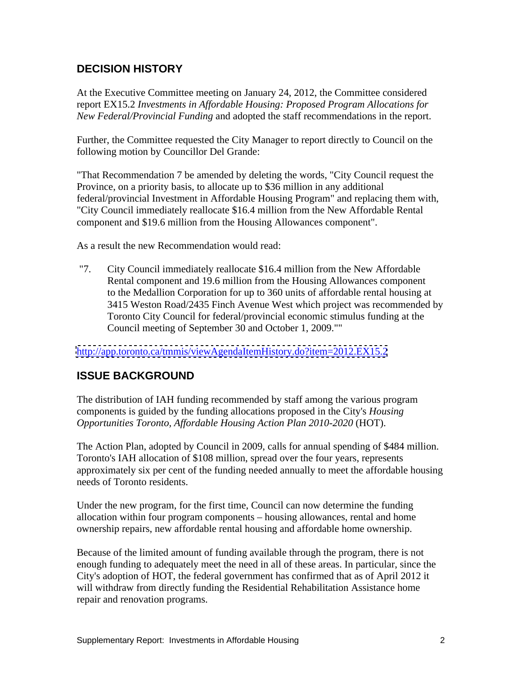### **DECISION HISTORY**

At the Executive Committee meeting on January 24, 2012, the Committee considered report EX15.2 *Investments in Affordable Housing: Proposed Program Allocations for New Federal/Provincial Funding* and adopted the staff recommendations in the report.

Further, the Committee requested the City Manager to report directly to Council on the following motion by Councillor Del Grande:

"That Recommendation 7 be amended by deleting the words, "City Council request the Province, on a priority basis, to allocate up to \$36 million in any additional federal/provincial Investment in Affordable Housing Program" and replacing them with, "City Council immediately reallocate \$16.4 million from the New Affordable Rental component and \$19.6 million from the Housing Allowances component".

As a result the new Recommendation would read:

"7. City Council immediately reallocate \$16.4 million from the New Affordable Rental component and 19.6 million from the Housing Allowances component to the Medallion Corporation for up to 360 units of affordable rental housing at 3415 Weston Road/2435 Finch Avenue West which project was recommended by Toronto City Council for federal/provincial economic stimulus funding at the Council meeting of September 30 and October 1, 2009.""

<http://app.toronto.ca/tmmis/viewAgendaItemHistory.do?item=2012.EX15.2>

### **ISSUE BACKGROUND**

The distribution of IAH funding recommended by staff among the various program components is guided by the funding allocations proposed in the City's *Housing Opportunities Toronto, Affordable Housing Action Plan 2010-2020* (HOT).

The Action Plan, adopted by Council in 2009, calls for annual spending of \$484 million. Toronto's IAH allocation of \$108 million, spread over the four years, represents approximately six per cent of the funding needed annually to meet the affordable housing needs of Toronto residents.

Under the new program, for the first time, Council can now determine the funding allocation within four program components – housing allowances, rental and home ownership repairs, new affordable rental housing and affordable home ownership.

Because of the limited amount of funding available through the program, there is not enough funding to adequately meet the need in all of these areas. In particular, since the City's adoption of HOT, the federal government has confirmed that as of April 2012 it will withdraw from directly funding the Residential Rehabilitation Assistance home repair and renovation programs.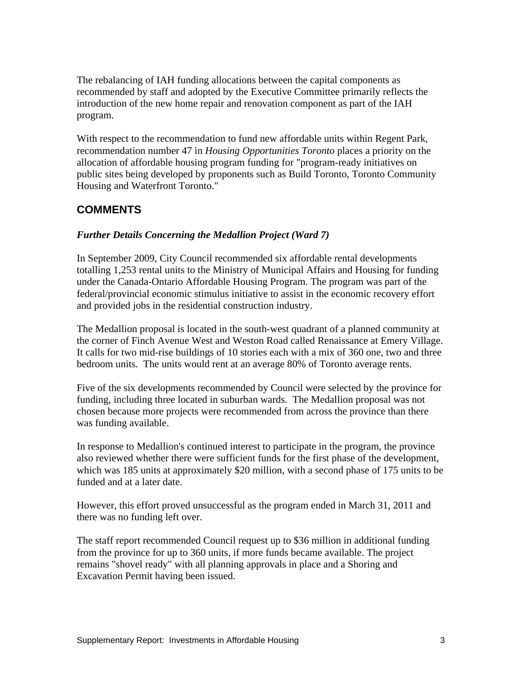The rebalancing of IAH funding allocations between the capital components as recommended by staff and adopted by the Executive Committee primarily reflects the introduction of the new home repair and renovation component as part of the IAH program.

With respect to the recommendation to fund new affordable units within Regent Park, recommendation number 47 in *Housing Opportunities Toronto* places a priority on the allocation of affordable housing program funding for "program-ready initiatives on public sites being developed by proponents such as Build Toronto, Toronto Community Housing and Waterfront Toronto."

### **COMMENTS**

#### *Further Details Concerning the Medallion Project (Ward 7)*

In September 2009, City Council recommended six affordable rental developments totalling 1,253 rental units to the Ministry of Municipal Affairs and Housing for funding under the Canada-Ontario Affordable Housing Program. The program was part of the federal/provincial economic stimulus initiative to assist in the economic recovery effort and provided jobs in the residential construction industry.

The Medallion proposal is located in the south-west quadrant of a planned community at the corner of Finch Avenue West and Weston Road called Renaissance at Emery Village. It calls for two mid-rise buildings of 10 stories each with a mix of 360 one, two and three bedroom units. The units would rent at an average 80% of Toronto average rents.

Five of the six developments recommended by Council were selected by the province for funding, including three located in suburban wards. The Medallion proposal was not chosen because more projects were recommended from across the province than there was funding available.

In response to Medallion's continued interest to participate in the program, the province also reviewed whether there were sufficient funds for the first phase of the development, which was 185 units at approximately \$20 million, with a second phase of 175 units to be funded and at a later date.

However, this effort proved unsuccessful as the program ended in March 31, 2011 and there was no funding left over.

The staff report recommended Council request up to \$36 million in additional funding from the province for up to 360 units, if more funds became available. The project remains "shovel ready" with all planning approvals in place and a Shoring and Excavation Permit having been issued.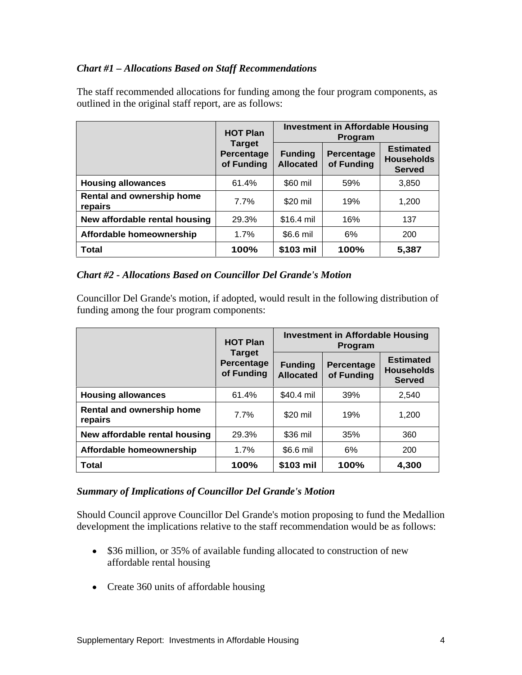#### *Chart #1 – Allocations Based on Staff Recommendations*

|                                             | <b>HOT Plan</b> |            | <b>Investment in Affordable Housing</b><br>Program                                                                          |                                   |  |
|---------------------------------------------|-----------------|------------|-----------------------------------------------------------------------------------------------------------------------------|-----------------------------------|--|
|                                             | Target          |            | Percentage Funding Percentage Burnaleu<br>of Funding Allocated of Funding Households<br>of Funding   Allocated   of Funding | <b>Estimated</b><br><b>Served</b> |  |
| Housing allowances                          | 61.4%           | \$60 mil   | 59%                                                                                                                         | 3,850                             |  |
| <b>Rental and ownership home</b><br>repairs | 7.7%            | \$20 mil   | 19%                                                                                                                         | 1,200                             |  |
| New affordable rental housing               | 29.3%           | \$16.4 mil | 16%                                                                                                                         | 137                               |  |
| Affordable homeownership                    | 1.7%            | \$6.6 mil  | $\mathsf{v}$                                                                                                                | 200                               |  |
| <b>Total</b>                                | 100%            | \$103 mil  | 100%                                                                                                                        | 5,387                             |  |

The staff recommended allocations for funding among the four program components, as outlined in the original staff report, are as follows:

#### *Chart #2 - Allocations Based on Councillor Del Grande's Motion*

Councillor Del Grande's motion, if adopted, would result in the following distribution of funding among the four program components:

|                                      | <b>HOT Plan</b> | <b>Investment in Affordable Housing</b><br>Program |                                     |                                                                               |
|--------------------------------------|-----------------|----------------------------------------------------|-------------------------------------|-------------------------------------------------------------------------------|
|                                      | Target          |                                                    | of Funding   Allocated   of Funding | <b>Estimated</b><br>Percentage Funding Percentage Households<br><b>Served</b> |
| Housing allowances                   | 61.4%           | \$40.4 mil                                         | 39%                                 | 2,540                                                                         |
| Rental and ownership home<br>repairs | 7.7%            | \$20 mil                                           | 19%                                 | 1,200                                                                         |
| New affordable rental housing        | 29.3%           | \$36 mil                                           | $\Omega$<br>-၁၁ ၇                   | 360                                                                           |
| Affordable homeownership             | 1.7%            | \$6.6 mil                                          |                                     | 200                                                                           |
| <b>Total</b>                         | 100%            | $\frac{1}{2}$ \$103 mil                            | 100%                                | 4,300                                                                         |

#### *Summary of Implications of Councillor Del Grande's Motion*

Should Council approve Councillor Del Grande's motion proposing to fund the Medallion development the implications relative to the staff recommendation would be as follows:

- \$36 million, or 35% of available funding allocated to construction of new affordable rental housing
- Create 360 units of affordable housing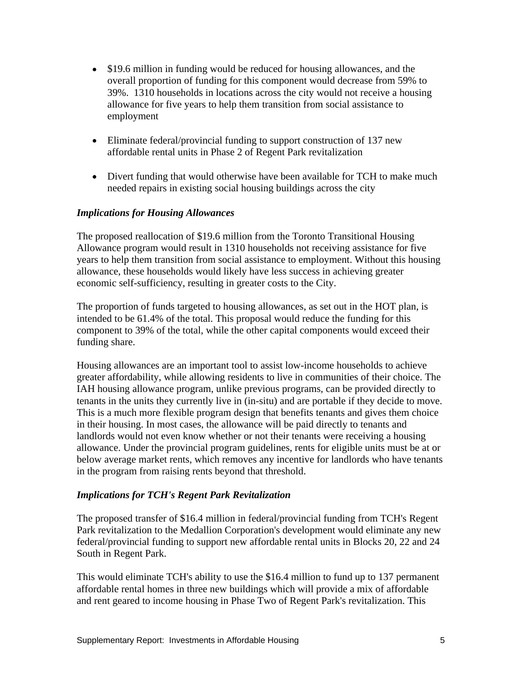- \$19.6 million in funding would be reduced for housing allowances, and the overall proportion of funding for this component would decrease from 59% to 39%. 1310 households in locations across the city would not receive a housing allowance for five years to help them transition from social assistance to employment
- Eliminate federal/provincial funding to support construction of 137 new affordable rental units in Phase 2 of Regent Park revitalization
- Divert funding that would otherwise have been available for TCH to make much needed repairs in existing social housing buildings across the city

#### *Implications for Housing Allowances*

The proposed reallocation of \$19.6 million from the Toronto Transitional Housing Allowance program would result in 1310 households not receiving assistance for five years to help them transition from social assistance to employment. Without this housing allowance, these households would likely have less success in achieving greater economic self-sufficiency, resulting in greater costs to the City.

The proportion of funds targeted to housing allowances, as set out in the HOT plan, is intended to be 61.4% of the total. This proposal would reduce the funding for this component to 39% of the total, while the other capital components would exceed their funding share.

Housing allowances are an important tool to assist low-income households to achieve greater affordability, while allowing residents to live in communities of their choice. The IAH housing allowance program, unlike previous programs, can be provided directly to tenants in the units they currently live in (in-situ) and are portable if they decide to move. This is a much more flexible program design that benefits tenants and gives them choice in their housing. In most cases, the allowance will be paid directly to tenants and landlords would not even know whether or not their tenants were receiving a housing allowance. Under the provincial program guidelines, rents for eligible units must be at or below average market rents, which removes any incentive for landlords who have tenants in the program from raising rents beyond that threshold.

#### *Implications for TCH's Regent Park Revitalization*

The proposed transfer of \$16.4 million in federal/provincial funding from TCH's Regent Park revitalization to the Medallion Corporation's development would eliminate any new federal/provincial funding to support new affordable rental units in Blocks 20, 22 and 24 South in Regent Park.

This would eliminate TCH's ability to use the \$16.4 million to fund up to 137 permanent affordable rental homes in three new buildings which will provide a mix of affordable and rent geared to income housing in Phase Two of Regent Park's revitalization. This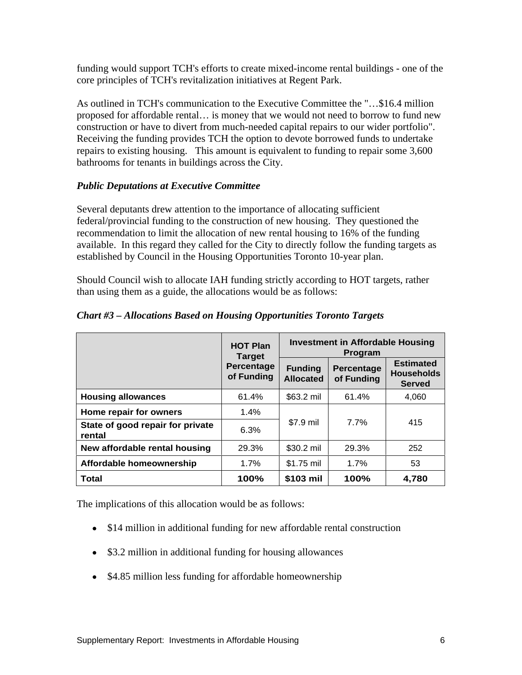funding would support TCH's efforts to create mixed-income rental buildings - one of the core principles of TCH's revitalization initiatives at Regent Park. As outlined in TCH's communication to the Executive Committee the "…\$16.4 million

proposed for affordable rental… is money that we would not need to borrow to fund new construction or have to divert from much-needed capital repairs to our wider portfolio". Receiving the funding provides TCH the option to devote borrowed funds to undertake repairs to existing housing. This amount is equivalent to funding to repair some 3,600 bathrooms for tenants in buildings across the City.

#### *Public Deputations at Executive Committee*

Several deputants drew attention to the importance of allocating sufficient federal/provincial funding to the construction of new housing. They questioned the recommendation to limit the allocation of new rental housing to 16% of the funding available. In this regard they called for the City to directly follow the funding targets as established by Council in the Housing Opportunities Toronto 10-year plan.

Should Council wish to allocate IAH funding strictly according to HOT targets, rather than using them as a guide, the allocations would be as follows:

|                                            | <b>HOT Plan</b>                                                              |            | <b>Investment in Affordable Housing</b> |                                          |
|--------------------------------------------|------------------------------------------------------------------------------|------------|-----------------------------------------|------------------------------------------|
|                                            | <b>Target</b>                                                                |            | Program                                 |                                          |
|                                            | Percentage   Funding   Percentage   '<br>of Funding   Allocated   of Funding |            |                                         | <b>Estimated</b><br>Households<br>Served |
| Housing allowances                         | 61.4%                                                                        | \$63.2 mil | 61.4%                                   | 4,060                                    |
| Home repair for owners                     | 1.4%                                                                         |            |                                         |                                          |
| State of good repair for private<br>rental | 6.3%                                                                         | \$7.9 mil  | 7.7%                                    | 415                                      |
| New affordable rental housing              | 29.3%                                                                        | \$30.2 mil | 29.3%                                   | 252                                      |
| Affordable homeownership                   | 1.7%                                                                         | \$1.75 mil | 1.7%                                    | <b>EQ</b>                                |
| <b>Total</b>                               | 100%                                                                         | \$103 mil  | 100%                                    | 4,780                                    |

*Chart #3 – Allocations Based on Housing Opportunities Toronto Targets*

The implications of this allocation would be as follows:

- \$14 million in additional funding for new affordable rental construction
- \$3.2 million in additional funding for housing allowances
- \$4.85 million less funding for affordable homeownership